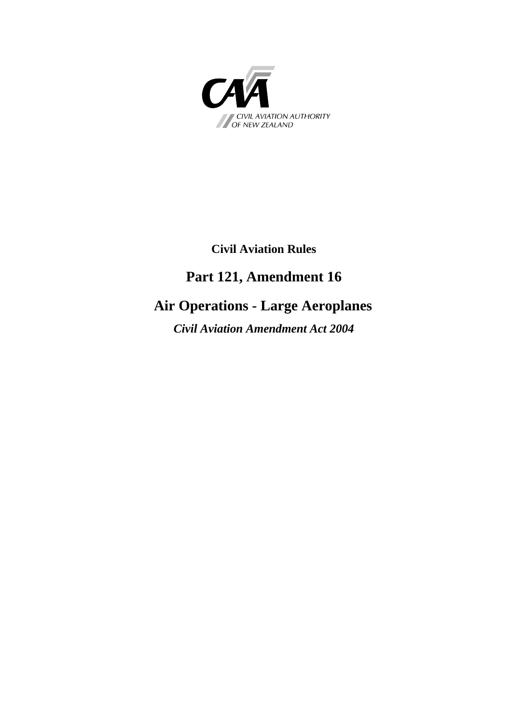

### **Civil Aviation Rules**

## **Part 121, Amendment 16**

# **Air Operations - Large Aeroplanes**

*Civil Aviation Amendment Act 2004*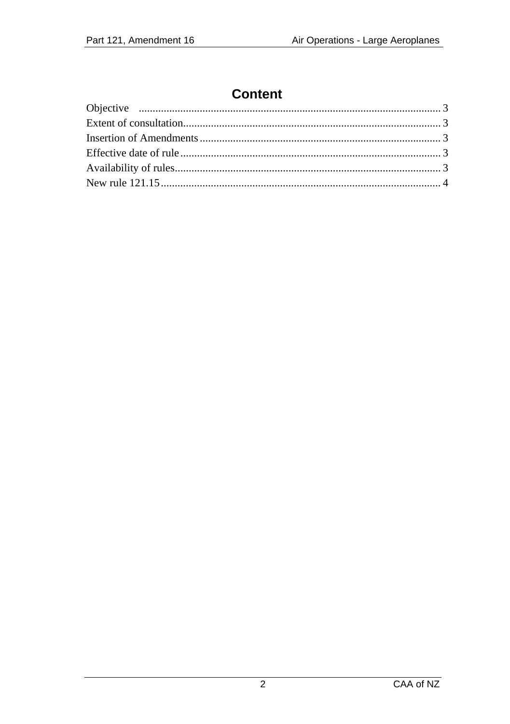# **Content**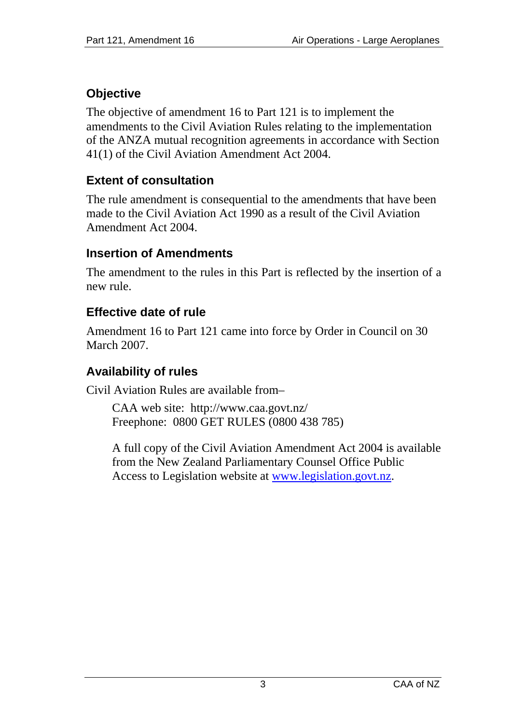## <span id="page-2-0"></span>**Objective**

The objective of amendment 16 to Part 121 is to implement the amendments to the Civil Aviation Rules relating to the implementation of the ANZA mutual recognition agreements in accordance with Section 41(1) of the Civil Aviation Amendment Act 2004.

### <span id="page-2-1"></span>**Extent of consultation**

The rule amendment is consequential to the amendments that have been made to the Civil Aviation Act 1990 as a result of the Civil Aviation Amendment Act 2004.

#### <span id="page-2-2"></span>**Insertion of Amendments**

The amendment to the rules in this Part is reflected by the insertion of a new rule.

### <span id="page-2-3"></span>**Effective date of rule**

Amendment 16 to Part 121 came into force by Order in Council on 30 March 2007.

#### <span id="page-2-4"></span>**Availability of rules**

Civil Aviation Rules are available from–

CAA web site: <http://www.caa.govt.nz/> Freephone: 0800 GET RULES (0800 438 785)

A full copy of the Civil Aviation Amendment Act 2004 is available from the New Zealand Parliamentary Counsel Office Public Access to Legislation website at [www.legislation.govt.nz.](http://www.legislation.govt.nz/)